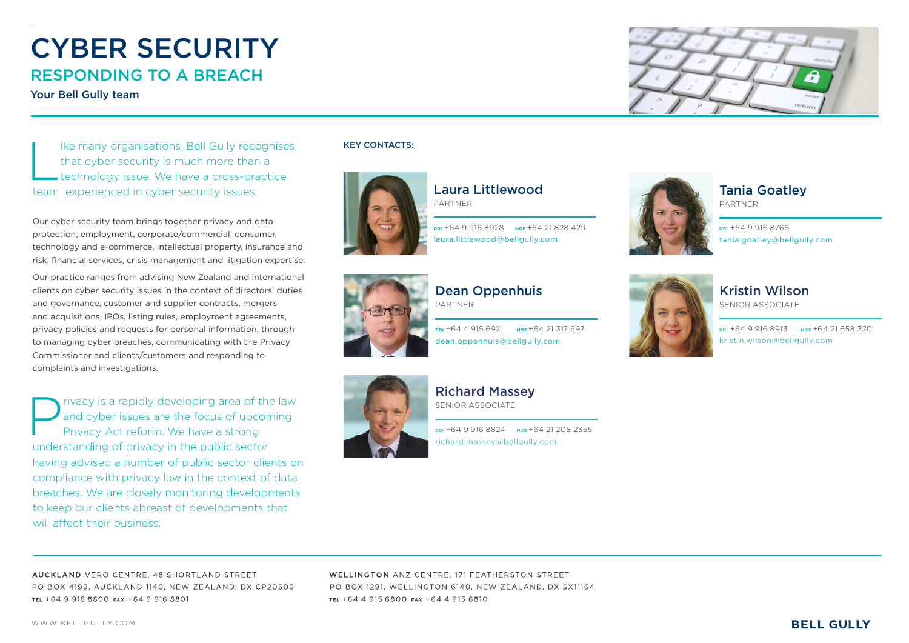





### Kristin Wilson

SENIOR ASSOCIATE

**DDI** +64 9 916 8913 **MOB** +64 21 658 320 kristin.wilson@bellgully.com



Ike many organisations, Bell Gully recognises<br>that cyber security is much more than a<br>technology issue. We have a cross-practice that cyber security is much more than a technology issue. We have a cross-practice team experienced in cyber security issues.

Our cyber security team brings together privacy and data protection, employment, corporate/commercial, consumer, technology and e-commerce, intellectual property, insurance and risk, financial services, crisis management and litigation expertise.

Privacy is a rapidly developing area of the law<br>and cyber issues are the focus of upcoming<br>Privacy Act reform. We have a strong and cyber issues are the focus of upcoming Privacy Act reform. We have a strong understanding of privacy in the public sector having advised a number of public sector clients on compliance with privacy law in the context of data breaches. We are closely monitoring developments to keep our clients abreast of developments that will affect their business.

Our practice ranges from advising New Zealand and international clients on cyber security issues in the context of directors' duties and governance, customer and supplier contracts, mergers and acquisitions, IPOs, listing rules, employment agreements, privacy policies and requests for personal information, through to managing cyber breaches, communicating with the Privacy Commissioner and clients/customers and responding to complaints and investigations.

> DDI +64 9 916 8824 MOB +64 21 208 2355 richard.massey@bellgully.com

AUCKLAND VERO CENTRE, 48 SHORTI AND STREET PO BOX 4199, AUCKLAND 1140, NEW ZEALAND, DX CP20509 TEL +64 9 916 8800 FAX +64 9 916 8801

**WELLINGTON ANZ CENTRE, 171 FEATHERSTON STREET** PO BOX 1291, WELLINGTON 6140, NEW ZEALAND, DX SX11164 TEL +64 4 915 6800 FAX +64 4 915 6810

KEY CONTACTS:



Dean Oppenhuis PARTNER

**DDI** +64 4 915 6921 **MOB** +64 21 317 697 dean.oppenhuis@bellgully.com





Richard Massey SENIOR ASSOCIATE

### Tania Goatley

PARTNER

**DDI** +64 9 916 8766 tania.goatley@bellgully.com





Laura Littlewood PARTNER

**DDI** +64 9 916 8928 **MOB** +64 21 828 429 laura.littlewood@bellgully.com



# CYBER SECURITY RESPONDING TO A BREACH

Your Bell Gully team